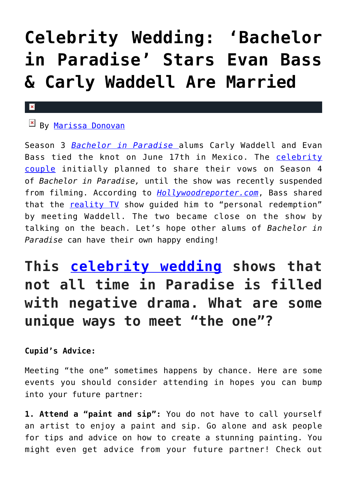# **[Celebrity Wedding: 'Bachelor](https://cupidspulse.com/119183/celebrity-wedding-bachelor-in-paradise-evan-bass-carly-waddell-married/) [in Paradise' Stars Evan Bass](https://cupidspulse.com/119183/celebrity-wedding-bachelor-in-paradise-evan-bass-carly-waddell-married/) [& Carly Waddell Are Married](https://cupidspulse.com/119183/celebrity-wedding-bachelor-in-paradise-evan-bass-carly-waddell-married/)**

#### $\mathbf x$

## $B$ <sub>By</sub> [Marissa Donovan](http://cupidspulse.com/118743/marissa-donovan/)

Season 3 *[Bachelor in Paradise](http://cupidspulse.com/celebrity-news/reality-tv/bachelor-in-paradise/)* alums Carly Waddell and Evan Bass tied the knot on June 17th in Mexico. The [celebrity](http://cupidspulse.com/celebrity-news/celebrity-dating/) [couple](http://cupidspulse.com/celebrity-news/celebrity-dating/) initially planned to share their vows on Season 4 of *Bachelor in Paradise,* until the show was recently suspended from filming. According to *[Hollywoodreporter.com](http://www.hollywoodreporter.com/amp/live-feed/bachelor-paradise-2017-controversy-evan-bass-begs-abc-not-cancel-show-1014290)*, Bass shared that the [reality TV](http://cupidspulse.com/celebrity-news/reality-tv/) show guided him to "personal redemption" by meeting Waddell. The two became close on the show by talking on the beach. Let's hope other alums of *Bachelor in Paradise* can have their own happy ending!

# **This [celebrity wedding](http://cupidspulse.com/celebrity-news/celebrity-weddings/) shows that not all time in Paradise is filled with negative drama. What are some unique ways to meet "the one"?**

### **Cupid's Advice:**

Meeting "the one" sometimes happens by chance. Here are some events you should consider attending in hopes you can bump into your future partner:

**1. Attend a "paint and sip":** You do not have to call yourself an artist to enjoy a paint and sip. Go alone and ask people for tips and advice on how to create a stunning painting. You might even get advice from your future partner! Check out